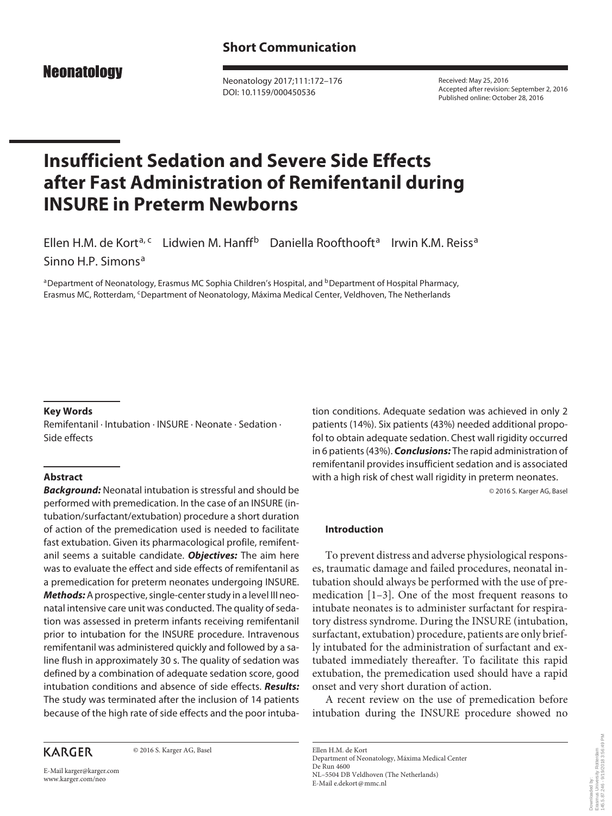**Neonatology** 

 Neonatology 2017;111:172–176 DOI: 10.1159/000450536

 Received: May 25, 2016 Accepted after revision: September 2, 2016 Published online: October 28, 2016

# **Insufficient Sedation and Severe Side Effects after Fast Administration of Remifentanil during INSURE in Preterm Newborns**

Ellen H.M. de Kort<sup>a, c</sup> Lidwien M. Hanff<sup>b</sup> Daniella Roofthooft<sup>a</sup> Irwin K.M. Reiss<sup>a</sup> Sinno H.P. Simons<sup>a</sup>

a Department of Neonatology, Erasmus MC Sophia Children's Hospital, and **b** Department of Hospital Pharmacy, Erasmus MC, Rotterdam, <sup>c</sup> Department of Neonatology, Máxima Medical Center, Veldhoven, The Netherlands

## **Key Words**

 Remifentanil · Intubation · INSURE · Neonate · Sedation · Side effects

# **Abstract**

*Background:* Neonatal intubation is stressful and should be performed with premedication. In the case of an INSURE (intubation/surfactant/extubation) procedure a short duration of action of the premedication used is needed to facilitate fast extubation. Given its pharmacological profile, remifentanil seems a suitable candidate. *Objectives:* The aim here was to evaluate the effect and side effects of remifentanil as a premedication for preterm neonates undergoing INSURE. *Methods:* A prospective, single-center study in a level III neonatal intensive care unit was conducted. The quality of sedation was assessed in preterm infants receiving remifentanil prior to intubation for the INSURE procedure. Intravenous remifentanil was administered quickly and followed by a saline flush in approximately 30 s. The quality of sedation was defined by a combination of adequate sedation score, good intubation conditions and absence of side effects. *Results:* The study was terminated after the inclusion of 14 patients because of the high rate of side effects and the poor intuba-

# **KARGER**

© 2016 S. Karger AG, Basel

E-Mail karger@karger.com www.karger.com/neo

tion conditions. Adequate sedation was achieved in only 2 patients (14%). Six patients (43%) needed additional propofol to obtain adequate sedation. Chest wall rigidity occurred in 6 patients (43%). *Conclusions:* The rapid administration of remifentanil provides insufficient sedation and is associated with a high risk of chest wall rigidity in preterm neonates.

© 2016 S. Karger AG, Basel

#### **Introduction**

 To prevent distress and adverse physiological responses, traumatic damage and failed procedures, neonatal intubation should always be performed with the use of premedication  $[1-3]$ . One of the most frequent reasons to intubate neonates is to administer surfactant for respiratory distress syndrome. During the INSURE (intubation, surfactant, extubation) procedure, patients are only briefly intubated for the administration of surfactant and extubated immediately thereafter. To facilitate this rapid extubation, the premedication used should have a rapid onset and very short duration of action.

 A recent review on the use of premedication before intubation during the INSURE procedure showed no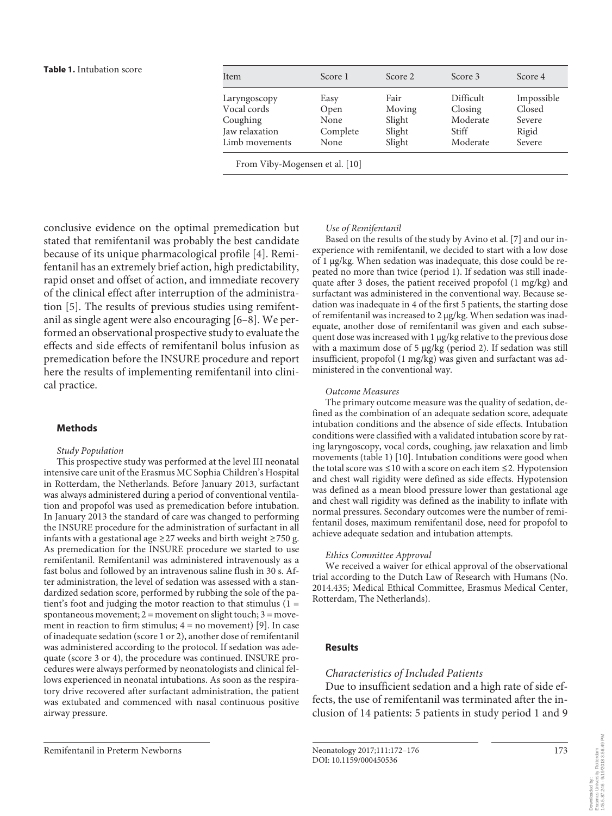#### **Table 1.** Intubation score

| Item           | Score 1  | Score 2 | Score 3   | Score 4    |
|----------------|----------|---------|-----------|------------|
| Laryngoscopy   | Easy     | Fair    | Difficult | Impossible |
| Vocal cords    | Open     | Moving  | Closing   | Closed     |
| Coughing       | None     | Slight  | Moderate  | Severe     |
| Jaw relaxation | Complete | Slight  | Stiff     | Rigid      |
| Limb movements | None     | Slight  | Moderate  | Severe     |

conclusive evidence on the optimal premedication but stated that remifentanil was probably the best candidate because of its unique pharmacological profile [4] . Remifentanil has an extremely brief action, high predictability, rapid onset and offset of action, and immediate recovery of the clinical effect after interruption of the administration [5]. The results of previous studies using remifentanil as single agent were also encouraging [6–8] . We performed an observational prospective study to evaluate the effects and side effects of remifentanil bolus infusion as premedication before the INSURE procedure and report here the results of implementing remifentanil into clinical practice.

## **Methods**

#### *Study Population*

 This prospective study was performed at the level III neonatal intensive care unit of the Erasmus MC Sophia Children's Hospital in Rotterdam, the Netherlands. Before January 2013, surfactant was always administered during a period of conventional ventilation and propofol was used as premedication before intubation. In January 2013 the standard of care was changed to performing the INSURE procedure for the administration of surfactant in all infants with a gestational age ≥27 weeks and birth weight ≥750 g. As premedication for the INSURE procedure we started to use remifentanil. Remifentanil was administered intravenously as a fast bolus and followed by an intravenous saline flush in 30 s. After administration, the level of sedation was assessed with a standardized sedation score, performed by rubbing the sole of the patient's foot and judging the motor reaction to that stimulus  $(1 =$ spontaneous movement;  $2 =$  movement on slight touch;  $3 =$  movement in reaction to firm stimulus;  $4 = no movement$  [9]. In case of inadequate sedation (score 1 or 2), another dose of remifentanil was administered according to the protocol. If sedation was adequate (score 3 or 4), the procedure was continued. INSURE procedures were always performed by neonatologists and clinical fellows experienced in neonatal intubations. As soon as the respiratory drive recovered after surfactant administration, the patient was extubated and commenced with nasal continuous positive airway pressure.

#### *Use of Remifentanil*

 Based on the results of the study by Avino et al. [7] and our inexperience with remifentanil, we decided to start with a low dose of 1 μg/kg. When sedation was inadequate, this dose could be repeated no more than twice (period 1). If sedation was still inadequate after 3 doses, the patient received propofol (1 mg/kg) and surfactant was administered in the conventional way. Because sedation was inadequate in 4 of the first 5 patients, the starting dose of remifentanil was increased to 2 μg/kg. When sedation was inadequate, another dose of remifentanil was given and each subsequent dose was increased with 1 μg/kg relative to the previous dose with a maximum dose of 5 μg/kg (period 2). If sedation was still insufficient, propofol (1 mg/kg) was given and surfactant was administered in the conventional way.

#### *Outcome Measures*

 The primary outcome measure was the quality of sedation, defined as the combination of an adequate sedation score, adequate intubation conditions and the absence of side effects. Intubation conditions were classified with a validated intubation score by rating laryngoscopy, vocal cords, coughing, jaw relaxation and limb movements (table 1) [10]. Intubation conditions were good when the total score was ≤ 10 with a score on each item ≤ 2. Hypotension and chest wall rigidity were defined as side effects. Hypotension was defined as a mean blood pressure lower than gestational age and chest wall rigidity was defined as the inability to inflate with normal pressures. Secondary outcomes were the number of remifentanil doses, maximum remifentanil dose, need for propofol to achieve adequate sedation and intubation attempts.

#### *Ethics Committee Approval*

 We received a waiver for ethical approval of the observational trial according to the Dutch Law of Research with Humans (No. 2014.435; Medical Ethical Committee, Erasmus Medical Center, Rotterdam, The Netherlands).

# **Results**

#### *Characteristics of Included Patients*

 Due to insufficient sedation and a high rate of side effects, the use of remifentanil was terminated after the inclusion of 14 patients: 5 patients in study period 1 and 9

Erasmus University Rotterdam<br>145.5.87.246 - 9/19/2018 3:56:49 PM 145.5.87.246 - 9/19/2018 3:56:49 PMErasmus University Rotterdam Downloaded by: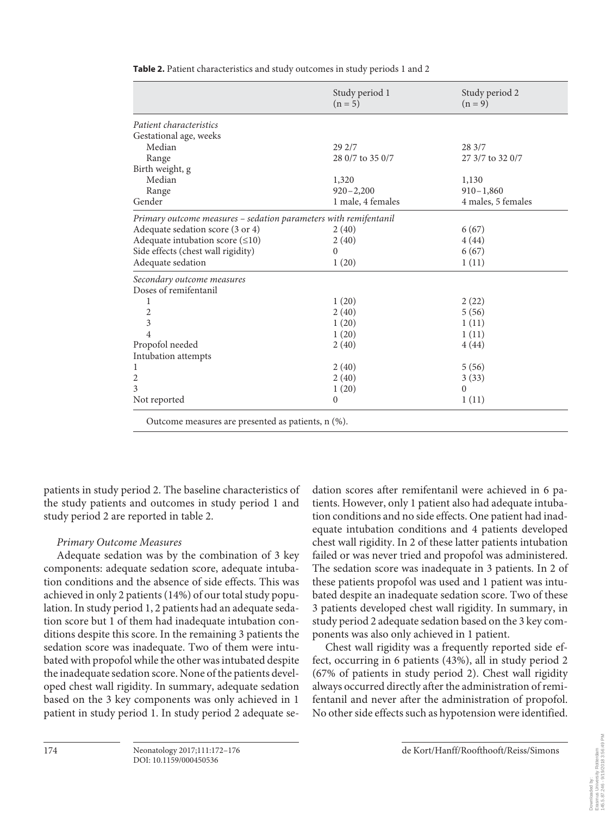|                                                                  | Study period 1<br>$(n = 5)$ | Study period 2<br>$(n = 9)$ |
|------------------------------------------------------------------|-----------------------------|-----------------------------|
| Patient characteristics                                          |                             |                             |
| Gestational age, weeks                                           |                             |                             |
| Median                                                           | 29 2/7                      | 28 3/7                      |
| Range                                                            | 28 0/7 to 35 0/7            | 27 3/7 to 32 0/7            |
| Birth weight, g                                                  |                             |                             |
| Median                                                           | 1,320                       | 1,130                       |
| Range                                                            | $920 - 2,200$               | $910 - 1,860$               |
| Gender                                                           | 1 male, 4 females           | 4 males, 5 females          |
| Primary outcome measures - sedation parameters with remifentanil |                             |                             |
| Adequate sedation score (3 or 4)                                 | 2(40)                       | 6(67)                       |
| Adequate intubation score $(\leq10)$                             | 2(40)                       | 4 (44)                      |
| Side effects (chest wall rigidity)                               | $\Omega$                    | 6(67)                       |
| Adequate sedation                                                | 1(20)                       | 1(11)                       |
| Secondary outcome measures                                       |                             |                             |
| Doses of remifentanil                                            |                             |                             |
| 1                                                                | 1(20)                       | 2(22)                       |
| 2                                                                | 2(40)                       | 5(56)                       |
| 3                                                                | 1(20)                       | 1(11)                       |
| $\overline{4}$                                                   | 1(20)                       | 1(11)                       |
| Propofol needed                                                  | 2(40)                       | 4(44)                       |
| Intubation attempts                                              |                             |                             |
| 1                                                                | 2(40)                       | 5(56)                       |
| 2                                                                | 2(40)                       | 3(33)                       |
| 3                                                                | 1(20)                       | $\Omega$                    |
| Not reported                                                     | 0                           | 1(11)                       |
| Outcome measures are presented as patients, n (%).               |                             |                             |

 **Table 2.** Patient characteristics and study outcomes in study periods 1 and 2

patients in study period 2. The baseline characteristics of the study patients and outcomes in study period 1 and study period 2 are reported in table 2.

# *Primary Outcome Measures*

 Adequate sedation was by the combination of 3 key components: adequate sedation score, adequate intubation conditions and the absence of side effects. This was achieved in only 2 patients (14%) of our total study population. In study period 1, 2 patients had an adequate sedation score but 1 of them had inadequate intubation conditions despite this score. In the remaining 3 patients the sedation score was inadequate. Two of them were intubated with propofol while the other was intubated despite the inadequate sedation score. None of the patients developed chest wall rigidity. In summary, adequate sedation based on the 3 key components was only achieved in 1 patient in study period 1. In study period 2 adequate sedation scores after remifentanil were achieved in 6 patients. However, only 1 patient also had adequate intubation conditions and no side effects. One patient had inadequate intubation conditions and 4 patients developed chest wall rigidity. In 2 of these latter patients intubation failed or was never tried and propofol was administered. The sedation score was inadequate in 3 patients. In 2 of these patients propofol was used and 1 patient was intubated despite an inadequate sedation score. Two of these 3 patients developed chest wall rigidity. In summary, in study period 2 adequate sedation based on the 3 key components was also only achieved in 1 patient.

 Chest wall rigidity was a frequently reported side effect, occurring in 6 patients (43%), all in study period 2 (67% of patients in study period 2). Chest wall rigidity always occurred directly after the administration of remifentanil and never after the administration of propofol. No other side effects such as hypotension were identified.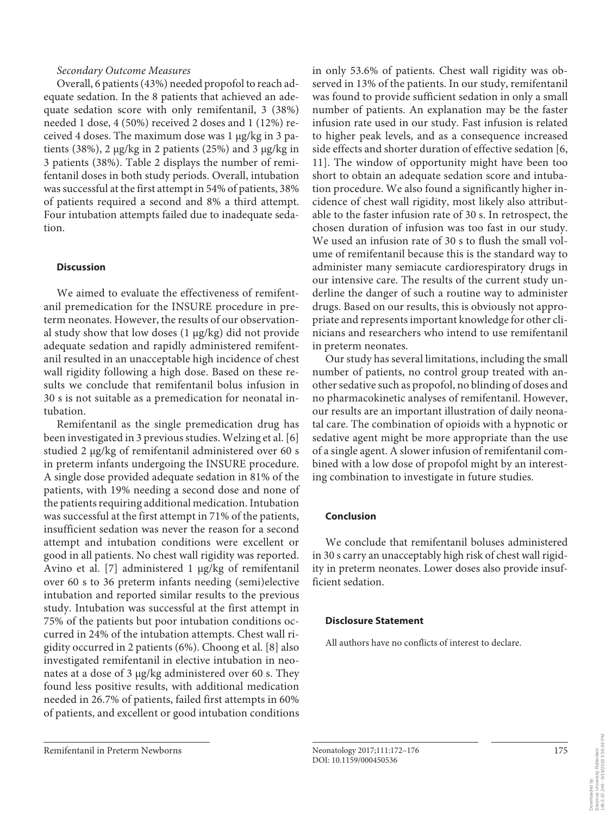# *Secondary Outcome Measures*

 Overall, 6 patients (43%) needed propofol to reach adequate sedation. In the 8 patients that achieved an adequate sedation score with only remifentanil, 3 (38%) needed 1 dose, 4 (50%) received 2 doses and 1 (12%) received 4 doses. The maximum dose was 1 μg/kg in 3 patients (38%), 2 μg/kg in 2 patients (25%) and 3 μg/kg in 3 patients (38%). Table 2 displays the number of remifentanil doses in both study periods. Overall, intubation was successful at the first attempt in 54% of patients, 38% of patients required a second and 8% a third attempt. Four intubation attempts failed due to inadequate sedation.

# **Discussion**

 We aimed to evaluate the effectiveness of remifentanil premedication for the INSURE procedure in preterm neonates. However, the results of our observational study show that low doses (1 μg/kg) did not provide adequate sedation and rapidly administered remifentanil resulted in an unacceptable high incidence of chest wall rigidity following a high dose. Based on these results we conclude that remifentanil bolus infusion in 30 s is not suitable as a premedication for neonatal intubation.

 Remifentanil as the single premedication drug has been investigated in 3 previous studies. Welzing et al. [6] studied 2 μg/kg of remifentanil administered over 60 s in preterm infants undergoing the INSURE procedure. A single dose provided adequate sedation in 81% of the patients, with 19% needing a second dose and none of the patients requiring additional medication. Intubation was successful at the first attempt in 71% of the patients, insufficient sedation was never the reason for a second attempt and intubation conditions were excellent or good in all patients. No chest wall rigidity was reported. Avino et al. [7] administered 1 μg/kg of remifentanil over 60 s to 36 preterm infants needing (semi)elective intubation and reported similar results to the previous study. Intubation was successful at the first attempt in 75% of the patients but poor intubation conditions occurred in 24% of the intubation attempts. Chest wall rigidity occurred in 2 patients (6%). Choong et al. [8] also investigated remifentanil in elective intubation in neonates at a dose of 3 μg/kg administered over 60 s. They found less positive results, with additional medication needed in 26.7% of patients, failed first attempts in 60% of patients, and excellent or good intubation conditions

in only 53.6% of patients. Chest wall rigidity was observed in 13% of the patients. In our study, remifentanil was found to provide sufficient sedation in only a small number of patients. An explanation may be the faster infusion rate used in our study. Fast infusion is related to higher peak levels, and as a consequence increased side effects and shorter duration of effective sedation [6, 11]. The window of opportunity might have been too short to obtain an adequate sedation score and intubation procedure. We also found a significantly higher incidence of chest wall rigidity, most likely also attributable to the faster infusion rate of 30 s. In retrospect, the chosen duration of infusion was too fast in our study. We used an infusion rate of 30 s to flush the small volume of remifentanil because this is the standard way to administer many semiacute cardiorespiratory drugs in our intensive care. The results of the current study underline the danger of such a routine way to administer drugs. Based on our results, this is obviously not appropriate and represents important knowledge for other clinicians and researchers who intend to use remifentanil in preterm neonates.

 Our study has several limitations, including the small number of patients, no control group treated with another sedative such as propofol, no blinding of doses and no pharmacokinetic analyses of remifentanil. However, our results are an important illustration of daily neonatal care. The combination of opioids with a hypnotic or sedative agent might be more appropriate than the use of a single agent. A slower infusion of remifentanil combined with a low dose of propofol might by an interesting combination to investigate in future studies.

#### **Conclusion**

 We conclude that remifentanil boluses administered in 30 s carry an unacceptably high risk of chest wall rigidity in preterm neonates. Lower doses also provide insufficient sedation.

#### **Disclosure Statement**

All authors have no conflicts of interest to declare.

)<br>ersity Rotterdam<br>· 9/19/2018 3:56:49 PM 145.5.87.246 - 9/19/2018 3:56:49 PMErasmus University Rotterdam Downloaded by: